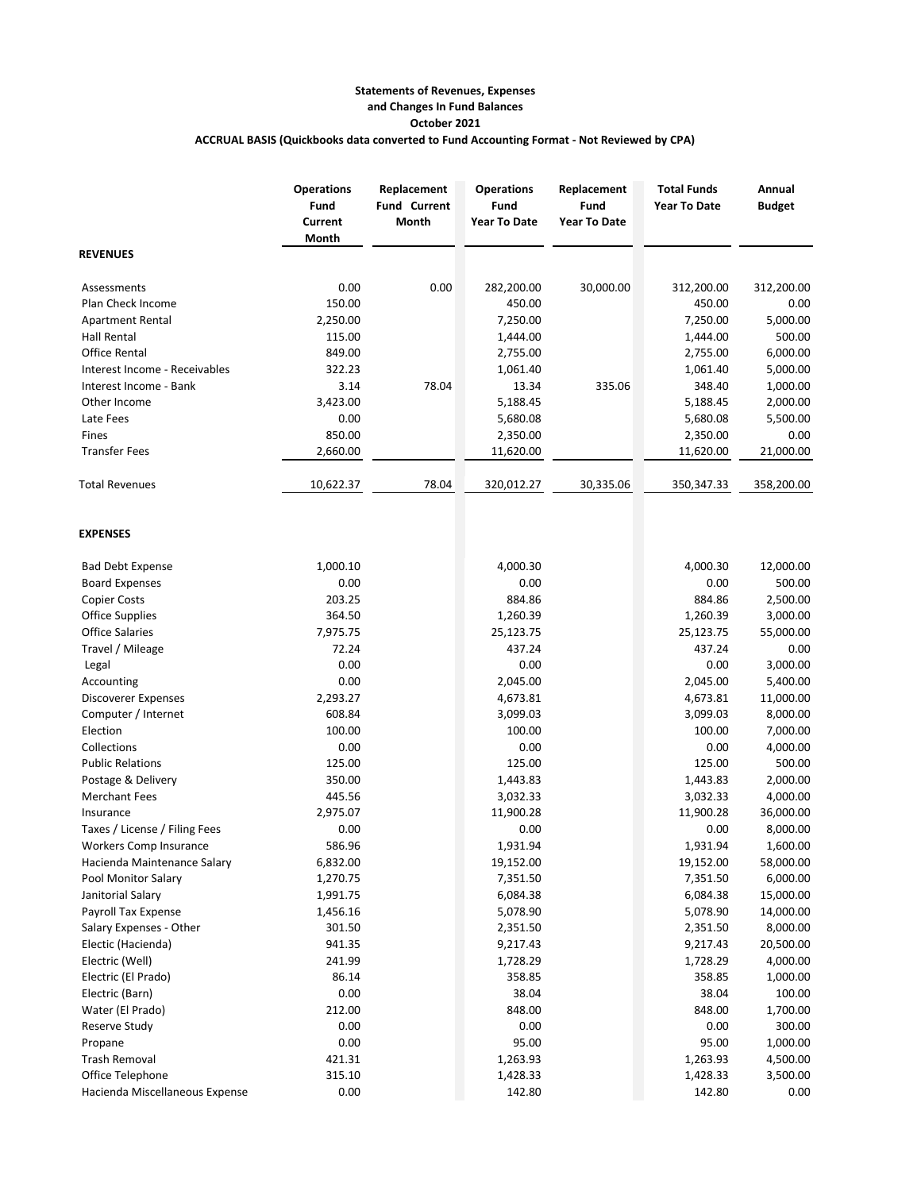## **Statements of Revenues, Expenses and Changes In Fund Balances October 2021 ACCRUAL BASIS (Quickbooks data converted to Fund Accounting Format - Not Reviewed by CPA)**

|                                | <b>Operations</b><br>Fund<br>Current<br>Month | Replacement<br><b>Fund Current</b><br>Month | <b>Operations</b><br>Fund<br><b>Year To Date</b> | Replacement<br>Fund<br><b>Year To Date</b> | <b>Total Funds</b><br><b>Year To Date</b> | Annual<br><b>Budget</b> |
|--------------------------------|-----------------------------------------------|---------------------------------------------|--------------------------------------------------|--------------------------------------------|-------------------------------------------|-------------------------|
| <b>REVENUES</b>                |                                               |                                             |                                                  |                                            |                                           |                         |
| Assessments                    | 0.00                                          | 0.00                                        | 282,200.00                                       | 30,000.00                                  | 312,200.00                                | 312,200.00              |
| Plan Check Income              | 150.00                                        |                                             | 450.00                                           |                                            | 450.00                                    | 0.00                    |
| <b>Apartment Rental</b>        | 2,250.00                                      |                                             | 7,250.00                                         |                                            | 7,250.00                                  | 5,000.00                |
| <b>Hall Rental</b>             | 115.00                                        |                                             | 1,444.00                                         |                                            | 1,444.00                                  | 500.00                  |
| <b>Office Rental</b>           | 849.00                                        |                                             | 2,755.00                                         |                                            | 2,755.00                                  | 6,000.00                |
| Interest Income - Receivables  | 322.23                                        |                                             | 1,061.40                                         |                                            | 1,061.40                                  | 5,000.00                |
| Interest Income - Bank         | 3.14                                          | 78.04                                       | 13.34                                            | 335.06                                     | 348.40                                    | 1,000.00                |
| Other Income                   | 3,423.00                                      |                                             | 5,188.45                                         |                                            | 5,188.45                                  | 2,000.00                |
| Late Fees                      | 0.00                                          |                                             | 5,680.08                                         |                                            | 5,680.08                                  | 5,500.00                |
| Fines                          | 850.00                                        |                                             | 2,350.00                                         |                                            | 2,350.00                                  | 0.00                    |
| <b>Transfer Fees</b>           | 2,660.00                                      |                                             | 11,620.00                                        |                                            | 11,620.00                                 | 21,000.00               |
| <b>Total Revenues</b>          | 10,622.37                                     | 78.04                                       | 320,012.27                                       | 30,335.06                                  | 350,347.33                                | 358,200.00              |
| <b>EXPENSES</b>                |                                               |                                             |                                                  |                                            |                                           |                         |
| <b>Bad Debt Expense</b>        | 1,000.10                                      |                                             | 4,000.30                                         |                                            | 4,000.30                                  | 12,000.00               |
| <b>Board Expenses</b>          | 0.00                                          |                                             | 0.00                                             |                                            | 0.00                                      | 500.00                  |
| <b>Copier Costs</b>            | 203.25                                        |                                             | 884.86                                           |                                            | 884.86                                    | 2,500.00                |
| <b>Office Supplies</b>         | 364.50                                        |                                             | 1,260.39                                         |                                            | 1,260.39                                  | 3,000.00                |
| <b>Office Salaries</b>         | 7,975.75                                      |                                             | 25,123.75                                        |                                            | 25,123.75                                 | 55,000.00               |
| Travel / Mileage               | 72.24                                         |                                             | 437.24                                           |                                            | 437.24                                    | 0.00                    |
| Legal                          | 0.00                                          |                                             | 0.00                                             |                                            | 0.00                                      | 3,000.00                |
| Accounting                     | 0.00                                          |                                             | 2,045.00                                         |                                            | 2,045.00                                  | 5,400.00                |
| Discoverer Expenses            | 2,293.27                                      |                                             | 4,673.81                                         |                                            | 4,673.81                                  | 11,000.00               |
| Computer / Internet            | 608.84                                        |                                             | 3,099.03                                         |                                            | 3,099.03                                  | 8,000.00                |
| Election                       | 100.00                                        |                                             | 100.00                                           |                                            | 100.00                                    | 7,000.00                |
| Collections                    | 0.00                                          |                                             | 0.00                                             |                                            | 0.00                                      | 4,000.00                |
| <b>Public Relations</b>        | 125.00                                        |                                             | 125.00                                           |                                            | 125.00                                    | 500.00                  |
| Postage & Delivery             | 350.00                                        |                                             | 1,443.83                                         |                                            | 1,443.83                                  | 2,000.00                |
| <b>Merchant Fees</b>           | 445.56                                        |                                             | 3,032.33                                         |                                            | 3,032.33                                  | 4,000.00                |
| Insurance                      | 2,975.07                                      |                                             | 11,900.28                                        |                                            | 11,900.28                                 | 36,000.00               |
| Taxes / License / Filing Fees  | 0.00                                          |                                             | 0.00                                             |                                            | 0.00                                      | 8,000.00                |
| Workers Comp Insurance         | 586.96                                        |                                             | 1,931.94                                         |                                            | 1,931.94                                  | 1,600.00                |
| Hacienda Maintenance Salary    | 6,832.00                                      |                                             | 19,152.00                                        |                                            | 19,152.00                                 | 58,000.00               |
| Pool Monitor Salary            | 1,270.75                                      |                                             | 7,351.50                                         |                                            | 7,351.50                                  | 6,000.00                |
| Janitorial Salary              | 1,991.75                                      |                                             | 6,084.38                                         |                                            | 6,084.38                                  | 15,000.00               |
| Payroll Tax Expense            | 1,456.16                                      |                                             | 5,078.90                                         |                                            | 5,078.90                                  | 14,000.00               |
| Salary Expenses - Other        | 301.50                                        |                                             | 2,351.50                                         |                                            | 2,351.50                                  | 8,000.00                |
| Electic (Hacienda)             | 941.35                                        |                                             | 9,217.43                                         |                                            | 9,217.43                                  | 20,500.00               |
| Electric (Well)                | 241.99                                        |                                             | 1,728.29                                         |                                            | 1,728.29                                  | 4,000.00                |
| Electric (El Prado)            | 86.14                                         |                                             | 358.85                                           |                                            | 358.85                                    | 1,000.00                |
| Electric (Barn)                | 0.00                                          |                                             | 38.04                                            |                                            | 38.04                                     | 100.00                  |
| Water (El Prado)               | 212.00                                        |                                             | 848.00                                           |                                            | 848.00                                    | 1,700.00                |
| Reserve Study                  | 0.00                                          |                                             | 0.00                                             |                                            | 0.00                                      | 300.00                  |
| Propane                        | 0.00                                          |                                             | 95.00                                            |                                            | 95.00                                     | 1,000.00                |
| <b>Trash Removal</b>           | 421.31                                        |                                             | 1,263.93                                         |                                            | 1,263.93                                  | 4,500.00                |
| Office Telephone               | 315.10                                        |                                             | 1,428.33                                         |                                            | 1,428.33                                  | 3,500.00                |
| Hacienda Miscellaneous Expense | 0.00                                          |                                             | 142.80                                           |                                            | 142.80                                    | 0.00                    |